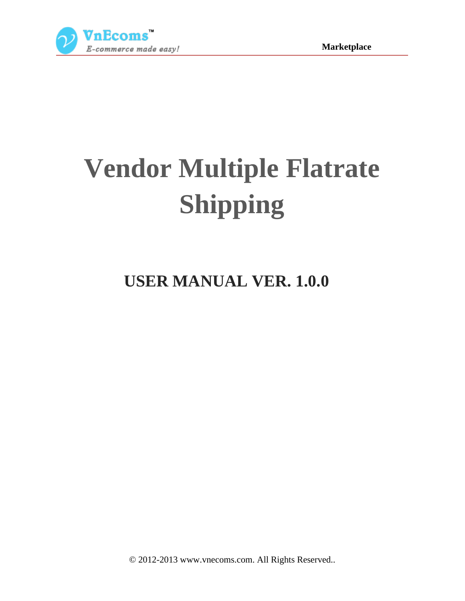

# **Vendor Multiple Flatrate Shipping**

# **USER MANUAL VER. 1.0.0**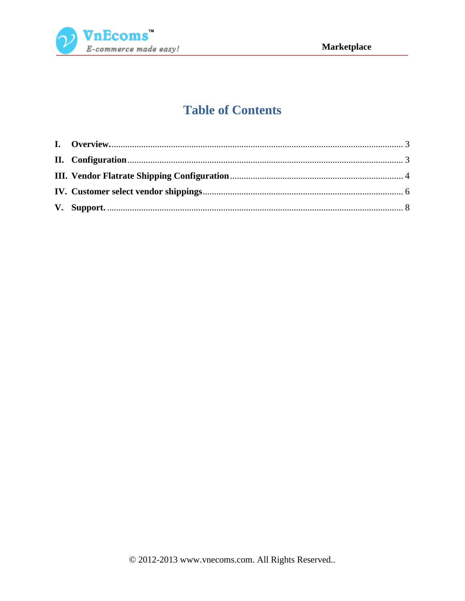

# **Table of Contents**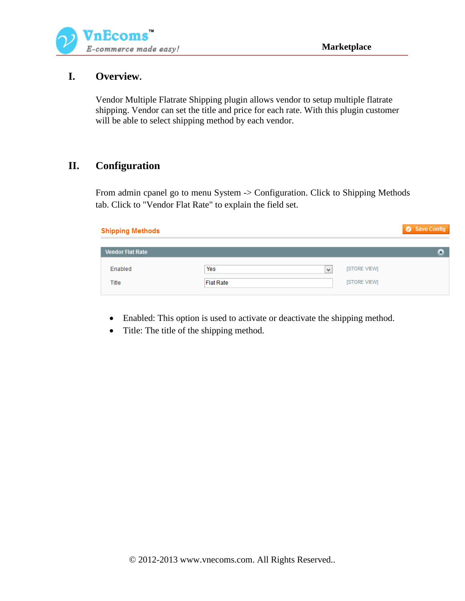

#### <span id="page-2-0"></span>**I. Overview.**

Vendor Multiple Flatrate Shipping plugin allows vendor to setup multiple flatrate shipping. Vendor can set the title and price for each rate. With this plugin customer will be able to select shipping method by each vendor.

#### <span id="page-2-1"></span>**II. Configuration**

From admin cpanel go to menu System -> Configuration. Click to Shipping Methods tab. Click to "Vendor Flat Rate" to explain the field set.

| <b>Shipping Methods</b> |                  |   |              | Save Config |
|-------------------------|------------------|---|--------------|-------------|
|                         |                  |   |              |             |
| <b>Vendor Flat Rate</b> |                  |   |              |             |
| Enabled                 | Yes              | v | [STORE VIEW] |             |
| Title                   | <b>Flat Rate</b> |   | [STORE VIEW] |             |

- Enabled: This option is used to activate or deactivate the shipping method.
- Title: The title of the shipping method.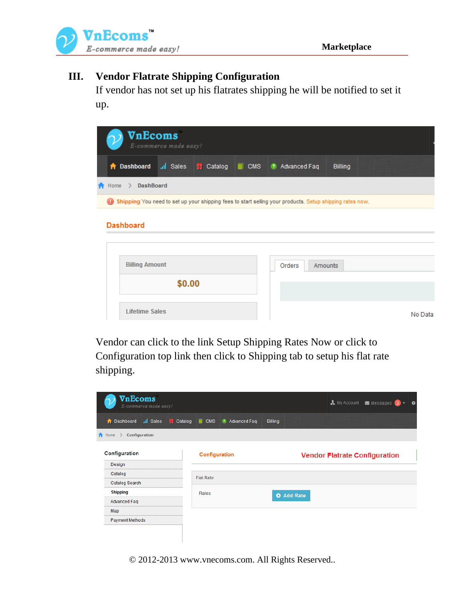



#### <span id="page-3-0"></span>**III. Vendor Flatrate Shipping Configuration**

If vendor has not set up his flatrates shipping he will be notified to set it up.

|                                     | VnEcoms               | E-commerce made easy! |  |                                                                                                          |                |         |
|-------------------------------------|-----------------------|-----------------------|--|----------------------------------------------------------------------------------------------------------|----------------|---------|
| A                                   | <b>Dashboard</b>      |                       |  | all Sales : Catalog CMS 2 Advanced Faq                                                                   | <b>Billing</b> |         |
| $\bigwedge$ Home $\bigtriangledown$ | DashBoard             |                       |  |                                                                                                          |                |         |
| $\circ$                             |                       |                       |  | Shipping You need to set up your shipping fees to start selling your products. Setup shipping rates now. |                |         |
|                                     | <b>Dashboard</b>      |                       |  |                                                                                                          |                |         |
|                                     |                       |                       |  |                                                                                                          |                |         |
|                                     | <b>Billing Amount</b> |                       |  | Orders                                                                                                   | Amounts        |         |
|                                     |                       | \$0.00                |  |                                                                                                          |                |         |
|                                     | <b>Lifetime Sales</b> |                       |  |                                                                                                          |                | No Data |

Vendor can click to the link Setup Shipping Rates Now or click to Configuration top link then click to Shipping tab to setup his flat rate shipping.

| VnEcoms<br>E-commerce made easy!                |                                                                |         | My Account <b>My Messages</b> 3      |  |
|-------------------------------------------------|----------------------------------------------------------------|---------|--------------------------------------|--|
| <b>A</b> Dashboard<br>all Sales                 | <b>Example 2</b> Catalog <b>T</b> CMS<br><b>2</b> Advanced Faq | Billing |                                      |  |
| <b>A</b> Home<br>Configuration<br>$\mathcal{F}$ |                                                                |         |                                      |  |
| Configuration                                   | Configuration                                                  |         | <b>Vendor Flatrate Configuration</b> |  |
| Design                                          |                                                                |         |                                      |  |
| Catalog                                         | <b>Flat Rate</b>                                               |         |                                      |  |
| Catalog Search                                  |                                                                |         |                                      |  |
| <b>Shipping</b>                                 | Rates                                                          |         |                                      |  |
| Advanced Faq                                    |                                                                |         |                                      |  |
| Map                                             |                                                                |         |                                      |  |
| <b>Payment Methods</b>                          |                                                                |         |                                      |  |
|                                                 |                                                                |         |                                      |  |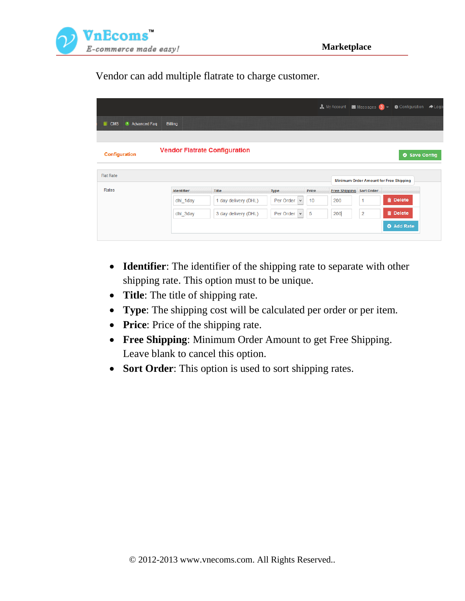

Vendor can add multiple flatrate to charge customer.

|                                                 |                   |                                      |                           |       | My Account <b>Manuel Messages</b> 3 - |                | <b>O</b> Configuration                 |
|-------------------------------------------------|-------------------|--------------------------------------|---------------------------|-------|---------------------------------------|----------------|----------------------------------------|
| $\blacksquare$ CMS<br><sup>2</sup> Advanced Faq | Billing           |                                      |                           |       |                                       |                |                                        |
| Configuration                                   |                   | <b>Vendor Flatrate Configuration</b> |                           |       |                                       |                | Save Config                            |
|                                                 |                   |                                      |                           |       |                                       |                |                                        |
| <b>Flat Rate</b>                                |                   |                                      |                           |       |                                       |                | Minimum Order Amount for Free Shipping |
| Rates                                           | <b>Identifier</b> | <b>Title</b>                         | <b>Type</b>               | Price | <b>Free Shipping Sort Order</b>       |                |                                        |
|                                                 | dhi 1day          | 1 day delivery (DHL)                 | Per Order<br>$\checkmark$ | 10    | 200                                   | 1              | <b>m</b> Delete                        |
|                                                 | dhl_3day          | 3 day delivery (DHL)                 | Per Order<br>$\vee$       | 5     | 200                                   | $\overline{c}$ | <b>m</b> Delete                        |

- **Identifier**: The identifier of the shipping rate to separate with other shipping rate. This option must to be unique.
- **Title**: The title of shipping rate.
- **Type**: The shipping cost will be calculated per order or per item.
- **Price:** Price of the shipping rate.
- **Free Shipping**: Minimum Order Amount to get Free Shipping. Leave blank to cancel this option.
- **Sort Order**: This option is used to sort shipping rates.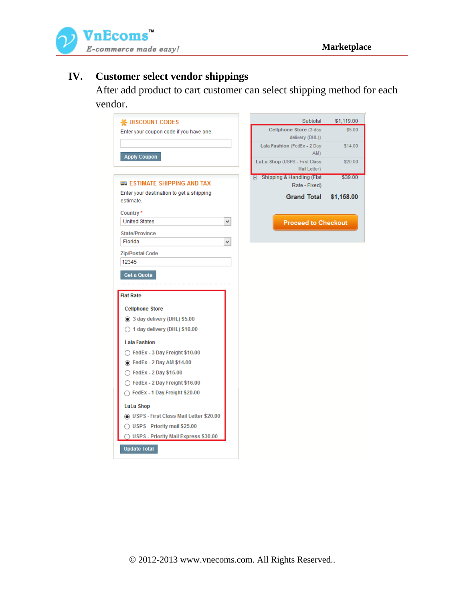

## <span id="page-5-0"></span>**IV. Customer select vendor shippings**

After add product to cart customer can select shipping method for each vendor.

| <b>K</b> DISCOUNT CODES                  | Subtotal                           | \$1,119.00 |
|------------------------------------------|------------------------------------|------------|
| Enter your coupon code if you have one.  | Cellphone Store (3 day             | \$5.00     |
|                                          | delivery (DHL))                    |            |
|                                          | Lala Fashion (FedEx - 2 Day<br>AM) | \$14.00    |
| <b>Apply Coupon</b>                      | LuLu Shop (USPS - First Class      | \$20.00    |
|                                          | Mail Letter)                       |            |
| <b>E</b> ESTIMATE SHIPPING AND TAX       | Shipping & Handling (Flat          | \$39.00    |
| Enter your destination to get a shipping | Rate - Fixed)                      |            |
|                                          | <b>Grand Total</b>                 | \$1,158.00 |
|                                          |                                    |            |
| <b>United States</b><br>v.               | <b>Proceed to Checkout</b>         |            |
| <b>State/Province</b>                    |                                    |            |
| v                                        |                                    |            |
| <b>Zip/Postal Code</b>                   |                                    |            |
|                                          |                                    |            |
| <b>Get a Quote</b>                       |                                    |            |
| <b>Flat Rate</b>                         |                                    |            |
| <b>Cellphone Store</b>                   |                                    |            |
| to 3 day delivery (DHL) \$5.00           |                                    |            |
| $\bigcirc$ 1 day delivery (DHL) \$10.00  |                                    |            |
| <b>Lala Fashion</b>                      |                                    |            |
| $\bigcirc$ FedEx - 3 Day Freight \$10.00 |                                    |            |
| <b>● FedEx - 2 Day AM \$14.00</b>        |                                    |            |
| ◯ FedEx - 2 Day \$15.00                  |                                    |            |
| ◯ FedEx - 2 Day Freight \$16.00          |                                    |            |
| ◯ FedEx - 1 Day Freight \$20.00          |                                    |            |
| <b>LuLu Shop</b>                         |                                    |            |
| O USPS - First Class Mail Letter \$20.00 |                                    |            |
| ◯ USPS - Priority mail \$25.00           |                                    |            |
| ◯ USPS - Priority Mail Express \$30.00   |                                    |            |
| <b>Update Total</b>                      |                                    |            |
|                                          |                                    |            |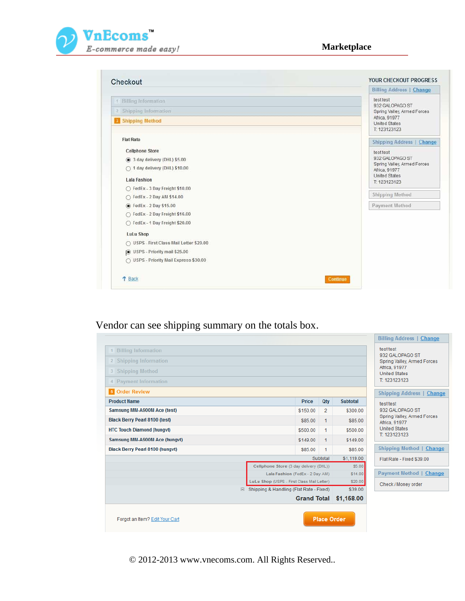

| Checkout                                 | YOUR CHECKOUT PROGRESS                         |
|------------------------------------------|------------------------------------------------|
|                                          | <b>Billing Address   Change</b>                |
| <sup>1</sup> Billing Information         | test test                                      |
| 2 Shipping Information                   | 932 GALOPAGO ST<br>Spring Valley, Armed Forces |
| <b>3</b> Shipping Method                 | Africa, 91977<br><b>United States</b>          |
|                                          | T: 123123123                                   |
| <b>Flat Rate</b>                         | <b>Shipping Address   Change</b>               |
| <b>Cellphone Store</b>                   | test test                                      |
| 3 day delivery (DHL) \$5.00              | 932 GALOPAGO ST<br>Spring Valley, Armed Forces |
| ◯ 1 day delivery (DHL) \$10.00           | Africa, 91977                                  |
| Lala Fashion                             | <b>United States</b><br>T: 123123123           |
| ◯ FedEx - 3 Day Freight \$10.00          |                                                |
| ○ FedEx - 2 Day AM \$14.00               | Shipping Method                                |
| <b>●</b> FedEx - 2 Day \$15.00           | Payment Method                                 |
| ◯ FedEx - 2 Day Freight \$16.00          |                                                |
| ○ FedEx - 1 Day Freight \$20.00          |                                                |
| <b>LuLu Shop</b>                         |                                                |
| ◯ USPS - First Class Mail Letter \$20.00 |                                                |
| O USPS - Priority mail \$25.00           |                                                |
| O USPS - Priority Mail Express \$30.00   |                                                |
| ↑ Back                                   | <b>Continue</b>                                |

## Vendor can see shipping summary on the totals box.

|                                                      |                                            |                            |                    | <b>Billing Address   Change</b>                             |
|------------------------------------------------------|--------------------------------------------|----------------------------|--------------------|-------------------------------------------------------------|
| <b>Billing Information</b><br>2 Shipping Information |                                            |                            |                    | test test<br>932 GALOPAGO ST<br>Spring Valley, Armed Forces |
| 3 Shipping Method<br>4 Payment Information           |                                            |                            |                    | Africa, 91977<br><b>United States</b><br>T: 123123123       |
| <b>5</b> Order Review                                |                                            |                            |                    |                                                             |
| <b>Product Name</b>                                  |                                            | <b>Price</b><br>Qty        | <b>Subtotal</b>    | <b>Shipping Address   Change</b><br>test test               |
| Samsung MM-A900M Ace (test)                          |                                            | \$150.00<br>$\overline{2}$ | \$300.00           | 932 GALOPAGO ST                                             |
| <b>Black Berry Pearl 8100 (test)</b>                 |                                            | \$85.00<br>1               | \$85.00            | Spring Valley, Armed Forces<br>Africa, 91977                |
| <b>HTC Touch Diamond (hungvt)</b>                    |                                            | \$500.00<br>1              | \$500.00           | <b>United States</b>                                        |
| Samsung MM-A900M Ace (hungvt)                        |                                            | \$149.00<br>1              | \$149.00           | T: 123123123                                                |
| <b>Black Berry Pearl 8100 (hungvt)</b>               |                                            | \$85.00<br>1               | \$85.00            | Shipping Method   Change                                    |
|                                                      |                                            | Subtotal                   | \$1,119.00         | Flat Rate - Fixed \$39.00                                   |
|                                                      | Cellphone Store (3 day delivery (DHL))     |                            | \$5.00             |                                                             |
|                                                      | Lala Fashion (FedEx - 2 Day AM)            |                            | \$14.00            | <b>Payment Method   Change</b>                              |
|                                                      | LuLu Shop (USPS - First Class Mail Letter) |                            | \$20.00            | Check / Money order                                         |
| 田                                                    | Shipping & Handling (Flat Rate - Fixed)    |                            | \$39.00            |                                                             |
|                                                      |                                            | <b>Grand Total</b>         | \$1,158.00         |                                                             |
| Forgot an Item? Edit Your Cart                       |                                            |                            | <b>Place Order</b> |                                                             |

© 2012-2013 www.vnecoms.com. All Rights Reserved..